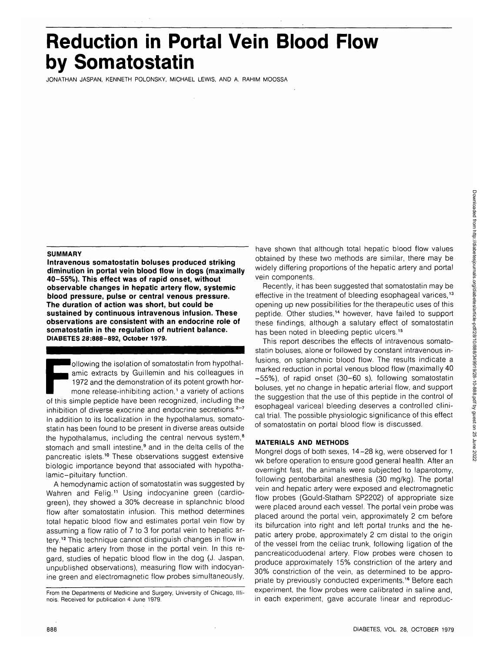# **Reduction in Portal Vein Blood Flow by Somatostatin**

JONATHAN JASPAN, KENNETH POLONSKY, MICHAEL LEWIS, AND A. RAHIM MOOSSA

#### **SUMMARY**

**Intravenous somatostatin boluses produced striking diminution in portal vein blood flow in dogs (maximally 40-55%). This effect was of rapid onset, without observable changes in hepatic artery flow, systemic blood pressure, pulse or central venous pressure. The duration of action was short, but could be sustained by continuous intravenous infusion. These observations are consistent with an endocrine role of somatostatin in the regulation of nutrient balance. DIABETES 28:888-892, October 1979.**

Following the isolation of somatostatin from hypothal-<br>amic extracts by Guillemin and his colleagues in<br>1972 and the demonstration of its potent growth hor-<br>mone release-inhibiting action,<sup>1</sup> a variety of actions<br>of this s amic extracts by Guillemin and his colleagues in 1972 and the demonstration of its potent growth hormone release-inhibiting action,<sup>1</sup> a variety of actions of this simple peptide have been recognized, including the inhibition of diverse exocrine and endocrine secretions.<sup>2-7</sup> In addition to its localization in the hypothalamus, somatostatin has been found to be present in diverse areas outside the hypothalamus, including the central nervous system,<sup>8</sup> stomach and small intestine,<sup>9</sup> and in the delta cells of the pancreatic islets.<sup>10</sup> These observations suggest extensive biologic importance beyond that associated with hypothalamic-pituitary function.

A hemodynamic action of somatostatin was suggested by Wahren and Felig.<sup>11</sup> Using indocyanine green (cardiogreen), they showed a 30% decrease in splanchnic blood flow after somatostatin infusion. This method determines total hepatic blood flow and estimates portal vein flow by assuming a flow ratio of 7 to 3 for portal vein to hepatic artery.<sup>12</sup> This technique cannot distinguish changes in flow in the hepatic artery from those in the portal vein. In this regard, studies of hepatic blood flow in the dog (J. Jaspan, unpublished observations), measuring flow with indocyanine green and electromagnetic flow probes simultaneously,

have shown that although total hepatic blood flow values obtained by these two methods are similar, there may be widely differing proportions of the hepatic artery and portal vein components.

Recently, it has been suggested that somatostatin may be effective in the treatment of bleeding esophageal varices,<sup>13</sup> opening up new possibilities for the therapeutic uses of this peptide. Other studies,<sup>14</sup> however, have failed to support these findings, although a salutary effect of somatostatin has been noted in bleeding peptic ulcers.<sup>15</sup>

This report describes the effects of intravenous somatostatin boluses, alone or followed by constant intravenous infusions, on splanchnic blood flow. The results indicate a marked reduction in portal venous blood flow (maximally 40 -55%), of rapid onset (30-60 s), following somatostatin boluses, yet no change in hepatic arterial flow, and support the suggestion that the use of this peptide in the control of esophageal variceal bleeding deserves a controlled clinical trial. The possible physiologic significance of this effect of somatostatin on portal blood flow is discussed.

# **MATERIALS AND METHODS**

Mongrel dogs of both sexes, 14-28 kg, were observed for 1 wk before operation to ensure good general health. After an overnight fast, the animals were subjected to laparotomy, following pentobarbital anesthesia (30 mg/kg). The portal vein and hepatic artery were exposed and electromagnetic flow probes (Gould-Statham SP2202) of appropriate size were placed around each vessel. The portal vein probe was placed around the portal vein, approximately 2 cm before its bifurcation into right and left portal trunks and the hepatic artery probe, approximately 2 cm distal to the origin of the vessel from the celiac trunk, following ligation of the pancreaticoduodenal artery. Flow probes were chosen to produce approximately 15% constriction of the artery and 30% constriction of the vein, as determined to be appropriate by previously conducted experiments.<sup>16</sup> Before each experiment, the flow probes were calibrated in saline and, in each experiment, gave accurate linear and reproduc-

From the Departments of Medicine and Surgery, University of Chicago, Illinois. Received for publication 4 June 1979.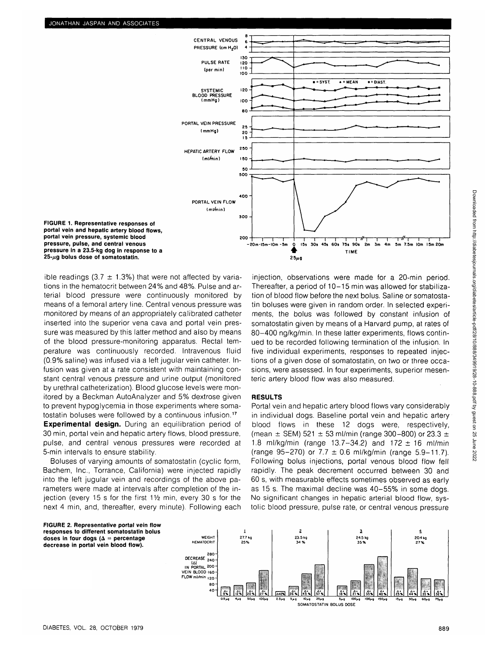

ible readings (3.7  $\pm$  1.3%) that were not affected by variations in the hematocrit between 24% and 48%. Pulse and arterial blood pressure were continuously monitored by means of a femoral artery line. Central venous pressure was monitored by means of an appropriately calibrated catheter inserted into the superior vena cava and portal vein pressure was measured by this latter method and also by means of the blood pressure-monitoring apparatus. Rectal temperature was continuously recorded. Intravenous fluid (0.9% saline) was infused via a left jugular vein catheter. Infusion was given at a rate consistent with maintaining constant central venous pressure and urine output (monitored by urethral catheterization). Blood glucose levels were monitored by a Beckman AutoAnalyzer and 5% dextrose given to prevent hypoglycemia in those experiments where somatostatin boluses were followed by a continuous infusion.<sup>17</sup>

**Experimental design.** During an equilibration period of 30 min, portal vein and hepatic artery flows, blood pressure, pulse, and central venous pressures were recorded at 5-min intervals to ensure stability.

Boluses of varying amounts of somatostatin (cyclic form, Bachem, Inc., Torrance, California) were injected rapidly into the left jugular vein and recordings of the above parameters were made at intervals after completion of the injection (every 15 s for the first 11/2 min, every 30 s for the next 4 min, and, thereafter, every minute). Following each

injection, observations were made for a 20-min period. Thereafter, a period of 10-15 min was allowed for stabilization of blood flow before the next bolus. Saline or somatostatin boluses were given in random order. In selected experiments, the bolus was followed by constant infusion of somatostatin given by means of a Harvard pump, at rates of 80-400 ng/kg/min. In these latter experiments, flows continued to be recorded following termination of the infusion. In five individual experiments, responses to repeated injections of a given dose of somatostatin, on two or three occasions, were assessed. In four experiments, superior mesenteric artery blood flow was also measured.

## **RESULTS**

Portal vein and hepatic artery blood flows vary considerably in individual dogs. Baseline portal vein and hepatic artery blood flows in these 12 dogs were, respectively, (mean  $\pm$  SEM) 521  $\pm$  53 ml/min (range 300-800) or 23.3  $\pm$ 1.8 ml/kg/min (range 13.7-34.2) and 172  $\pm$  16 ml/min (range 95-270) or  $7.7 \pm 0.6$  ml/kg/min (range 5.9-11.7). Following bolus injections, portal venous blood flow fell rapidly. The peak decrement occurred between 30 and 60 s, with measurable effects sometimes observed as early as 15 s. The maximal decline was 40-55% in some dogs. No significant changes in hepatic arterial blood flow, systolic blood pressure, pulse rate, or central venous pressure

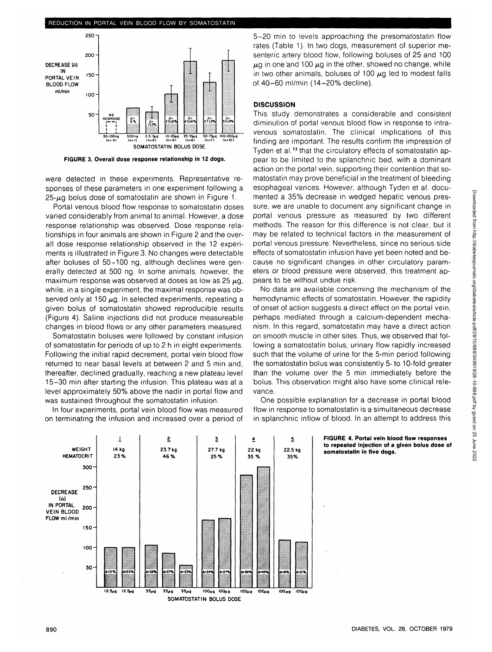### REDUCTION IN PORTAL VEIN BLOOD FLOW BY SOMATOSTATIN



**FIGURE 3. Overall dose response relationship in 12 dogs.**

were detected in these experiments. Representative responses of these parameters in one experiment following a  $25-\mu$ g bolus dose of somatostatin are shown in Figure 1.

Portal venous blood flow response to somatostatin doses varied considerably from animal to animal. However, a dose response relationship was observed. Dose response relationships in four animals are shown in Figure 2 and the overall dose response relationship observed in the 12 experiments is illustrated in Figure 3. No changes were detectable after boluses of 50-100 ng, although declines were generally detected at 500 ng. In some animals, however, the maximum response was observed at doses as low as  $25 \mu$ q, while, in a single experiment, the maximal response was observed only at 150  $\mu$ g. In selected experiments, repeating a given bolus of somatostatin showed reproducible results (Figure 4). Saline injections did not produce measureable changes in blood flows or any other parameters measured.

Somatostatin boluses were followed by constant infusion of somatostatin for periods of up to 2 h in eight experiments. Following the initial rapid decrement, portal vein blood flow returned to near basal levels at between 2 and 5 min and, thereafter, declined gradually, reaching a new plateau level 15-30 min after starting the infusion. This plateau was at a level approximately 50% above the nadir in portal flow and was sustained throughout the somatostatin infusion.

In four experiments, portal vein blood flow was measured on terminating the infusion and increased over a period of 5-20 min to levels approaching the presomatostatin flow rates (Table 1). In two dogs, measurement of superior mesenteric artery blood flow, following boluses of 25 and 100  $\mu$ g in one and 100  $\mu$ g in the other, showed no change, while in two other animals, boluses of 100  $\mu$ q led to modest falls of 40-60 ml/min (14-20% decline).

## **DISCUSSION**

This study demonstrates a considerable and consistent diminution of portal venous blood flow in response to intravenous somatostatin. The clinical implications of this finding are important. The results confirm the impression of Tyden et al.<sup>13</sup> that the circulatory effects of somatostatin appear to be limited to the splanchnic bed, with a dominant action on the portal vein, supporting their contention that somatostatin may prove beneficial in the treatment of bleeding esophageal varices. However, although Tyden et al. documented a 35% decrease in wedged hepatic venous pressure, we are unable to document any significant change in portal venous pressure as measured by two different methods. The reason for this difference is not clear, but it may be related to technical factors in the measurement of portal venous pressure. Nevertheless, since no serious side effects of somatostatin infusion have yet been noted and because no significant changes in other circulatory parameters or blood pressure were observed, this treatment appears to be without undue risk.

No data are available concerning the mechanism of the hemodynamic effects of somatostatin. However, the rapidity of onset of action suggests a direct effect on the portal vein, perhaps mediated through a calcium-dependent mechanism. In this regard, somatostatin may have a direct action on smooth muscle in other sites. Thus, we observed that following a somatostatin bolus, urinary flow rapidly increased such that the volume of urine for the 5-min period following the somatostatin bolus was consistently 5- to 10-fold greater than the volume over the 5 min immediately before the bolus. This observation might also have some clinical relevance.

One possible explanation for a decrease in portal blood flow in response to somatostatin is a simultaneous decrease in splanchnic inflow of blood. In an attempt to address this



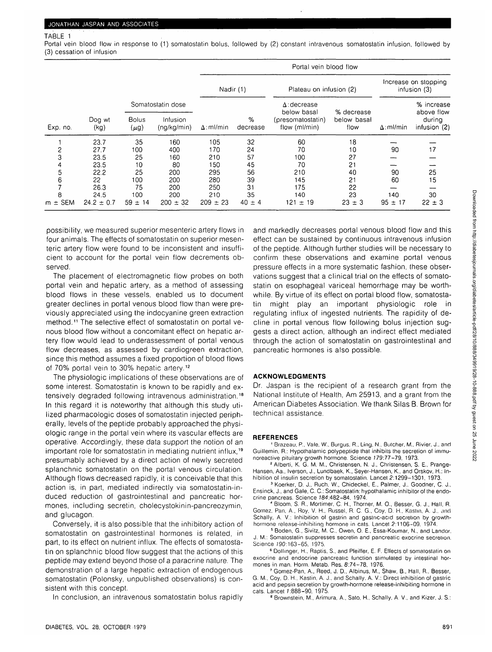TABLE 1

Portal vein blood flow in response to (1) somatostatin bolus, followed by (2) constant intravenous somatostatin infusion, followed by (3) cessation of infusion

|             |                |                           |                         | Portal vein blood flow |               |                                    |                     |                                      |                                      |
|-------------|----------------|---------------------------|-------------------------|------------------------|---------------|------------------------------------|---------------------|--------------------------------------|--------------------------------------|
|             |                |                           |                         | Nadir (1)              |               | Plateau on infusion (2)            |                     | Increase on stopping<br>infusion (3) |                                      |
|             |                | Somatostatin dose         |                         |                        |               | $\Delta$ : decrease<br>below basal | % decrease          |                                      | % increase                           |
| Exp. no.    | Dog wt<br>(kg) | <b>Bolus</b><br>$(\mu g)$ | Infusion<br>(nq/kg/min) | $\Delta$ : ml/min      | ℅<br>decrease | (presomatostatin)<br>flow (ml/min) | below basal<br>flow | $\Delta$ : ml/min                    | above flow<br>during<br>infusion (2) |
|             | 23.7           | 35                        | 160                     | 105                    | 32            | 60                                 | 18                  |                                      |                                      |
| 2           | 27.7           | 100                       | 400                     | 170                    | 24            | 70                                 | 10                  | 90                                   | 17                                   |
| 3           | 23.5           | 25                        | 160                     | 210                    | 57            | 100                                | 27                  |                                      |                                      |
| 4           | 23.5           | 10                        | 80                      | 150                    | 45            | 70                                 | 21                  |                                      |                                      |
| 5           | 22.2           | 25                        | 200                     | 295                    | 56            | 210                                | 40                  | 90                                   | 25                                   |
| 6           | 22             | 100                       | 200                     | 280                    | 39            | 145                                | 21                  | 60                                   | 15                                   |
|             | 26.3           | 75                        | 200                     | 250                    | 31            | 175                                | 22                  |                                      |                                      |
| 8           | 24.5           | 100                       | 200                     | 210                    | 35            | 140                                | 23                  | 140                                  | 30                                   |
| $m \pm$ SEM | $24.2 \pm 0.7$ | $59 \pm 14$               | $200 \pm 32$            | $209 \pm 23$           | $40 \pm 4$    | 19<br>121<br>$\pm$                 | $23 \pm 3$          | $95 \pm 17$                          | $22 \pm 3$                           |

possibility, we measured superior mesenteric artery flows in four animals. The effects of somatostatin on superior mesenteric artery flow were found to be inconsistent and insufficient to account for the portal vein flow decrements observed.

The placement of electromagnetic flow probes on both portal vein and hepatic artery, as a method of assessing blood flows in these vessels, enabled us to document greater declines in portal venous blood flow than were previously appreciated using the indocyanine green extraction method.<sup>11</sup> The selective effect of somatostatin on portal venous blood flow without a concomitant effect on hepatic artery flow would lead to underassessment of portal venous flow decreases, as assessed by cardiogreen extraction, since this method assumes a fixed proportion of blood flows of 70% portal vein to 30% hepatic artery.12

The physiologic implications of these observations are of some interest. Somatostatin is known to be rapidly and extensively degraded following intravenous administration.<sup>18</sup> In this regard it is noteworthy that although this study utilized pharmacologic doses of somatostatin injected peripherally, levels of the peptide probably approached the physiologic range in the portal vein where its vascular effects are operative. Accordingly, these data support the notion of an important role for somatostatin in mediating nutrient influx,<sup>19</sup> presumably achieved by a direct action of newly secreted splanchnic somatostatin on the portal venous circulation. Although flows decreased rapidly, it is conceivable that this action is, in part, mediated indirectly via somatostatin-induced reduction of gastrointestinal and pancreatic hormones, including secretin, cholecystokinin-pancreozymin, and glucagon.

Conversely, it is also possible that the inhibitory action of somatostatin on gastrointestinal hormones is related, in part, to its effect on nutrient influx. The effects of somatostatin on splanchnic blood flow suggest that the actions of this peptide may extend beyond those of a paracrine nature. The demonstration of a large hepatic extraction of endogenous somatostatin (Polonsky, unpublished observations) is consistent with this concept.

In conclusion, an intravenous somatostatin bolus rapidly

and markedly decreases portal venous blood flow and this effect can be sustained by continuous intravenous infusion of the peptide. Although further studies will be necessary to confirm these observations and examine portal venous pressure effects in a more systematic fashion, these observations suggest that a clinical trial on the effects of somatostatin on esophageal variceal hemorrhage may be worthwhile. By virtue of its effect on portal blood flow, somatostatin might play an important physiologic role in regulating influx of ingested nutrients. The rapidity of decline in portal venous flow following bolus injection suggests a direct action, although an indirect effect mediated through the action of somatostatin on gastrointestinal and pancreatic hormones is also possible.

## **ACKNOWLEDGMENTS**

Dr. Jaspan is the recipient of a research grant from the National Institute of Health, Am 25913, and a grant from the American Diabetes Association. We thank Silas B. Brown for technical assistance.

#### **REFERENCES**

 Brazeau, P., Vale, W., Burgus, R., Ling, N., Butcher, M., Rivier, J., and Guillemin, R.: Hypothalamic polypeptide that inhibits the secretion of immunoreactive pituitary growth hormone. Science 7 79:77-79, 1973.

2 Alberti, K. G. M. M., Christensen, N. J., Christensen, S. E., Prange-Hansen, Aa., Iverson, J., Lundbaek, K., Seyer-Hansen, K., and Orskov, H.: Inhibition of insulin secretion by somatostatin. Lancet 2:1299-1301, 1973.

3 Koerker, D. J., Ruch, W., Chideckel, E., Palmer, J., Goodner, C. J., Ensinck, J., and Gale, C. C: Somatostatin: hypothalamic inhibitor of the endocrine pancreas. Science 184:482-84. 1974.

 Bloom, S. R., Mortimer. C. H., Thorner, M. O., Besser, G. J., Hall, R. Gomez, Pan, A., Roy, V. H., Russel, R. C. G., Coy, D. H, Kastin, A. J., and Schally, A. V.: Inhibition of gastrin and gastric-acid secretion by growthhormone release-inhibiting hormone in cats. Lancet 2:1106-09. 1974.

5 Boden, G., Sivitz, M. C, Owen, O. E., Essa-Koumar, N., and Landor, J. M.: Somatostatin suppresses secretin and pancreatic exocrine secretion. Science 790:163-65, 1975.

6 Dollinger, H., Raptis, S., and Pfeiffer, E. F. Effects of somatostatin on exocrine and endocrine pancreatic function stimulated by intestinal hormones in man. Horm. Metab. Res. 8:74-78, 1976.

7 Gomez-Pan, A., Reed, J. D., Albinus, M., Shaw, B., Hall, R., Besser, G. M., Coy, D. H., Kastin, A. J., and Schally, A. V.: Direct inhibition of gastric acid and pepsin secretion by growth-hormone release-inhibiting hormone in cats. Lancet 1:888-90, 1975

<sup>8</sup> Brownstein, M., Arimura, A., Sato, H., Schally, A. V., and Kizer, J. S.: